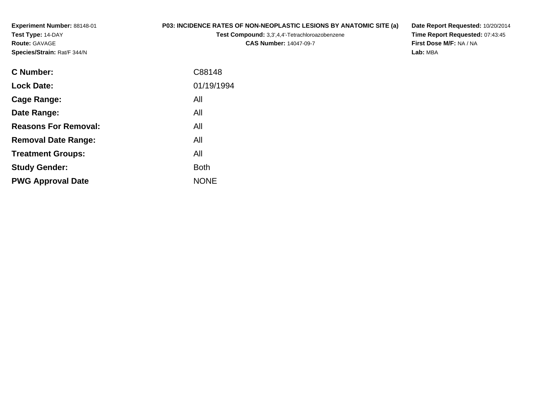**Experiment Number:** 88148-01**Test Type:** 14-DAY**Route:** GAVAGE**Species/Strain:** Rat/F 344/N

## **P03: INCIDENCE RATES OF NON-NEOPLASTIC LESIONS BY ANATOMIC SITE (a)**

**Test Compound:** 3,3',4,4'-Tetrachloroazobenzene

**CAS Number:** 14047-09-7

**Date Report Requested:** 10/20/2014 **Time Report Requested:** 07:43:45**First Dose M/F:** NA / NA**Lab:** MBA

| <b>C</b> Number:            | C88148      |
|-----------------------------|-------------|
| <b>Lock Date:</b>           | 01/19/1994  |
| Cage Range:                 | All         |
| Date Range:                 | All         |
| <b>Reasons For Removal:</b> | All         |
| <b>Removal Date Range:</b>  | All         |
| <b>Treatment Groups:</b>    | All         |
| <b>Study Gender:</b>        | <b>Both</b> |
| <b>PWG Approval Date</b>    | <b>NONE</b> |
|                             |             |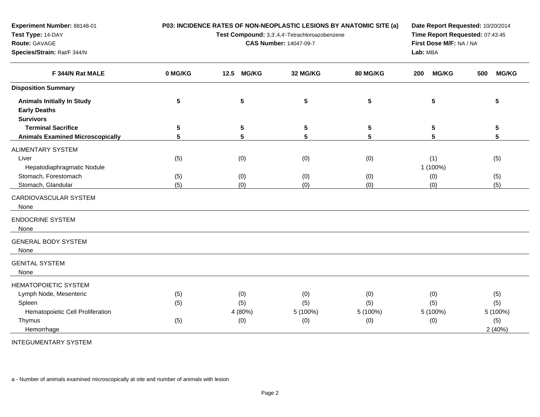| Test Type: 14-DAY                       |         | Test Compound: 3,3',4,4'-Tetrachloroazobenzene | Time Report Requested: 07:43:45 |                         |                     |                     |  |
|-----------------------------------------|---------|------------------------------------------------|---------------------------------|-------------------------|---------------------|---------------------|--|
| Route: GAVAGE                           |         |                                                | <b>CAS Number: 14047-09-7</b>   | First Dose M/F: NA / NA |                     |                     |  |
| Species/Strain: Rat/F 344/N             |         |                                                |                                 |                         | Lab: MBA            |                     |  |
| F 344/N Rat MALE                        | 0 MG/KG | <b>MG/KG</b><br>12.5                           | 32 MG/KG                        | 80 MG/KG                | <b>MG/KG</b><br>200 | <b>MG/KG</b><br>500 |  |
| <b>Disposition Summary</b>              |         |                                                |                                 |                         |                     |                     |  |
| <b>Animals Initially In Study</b>       | 5       | 5                                              | $5\phantom{.0}$                 | 5                       | 5                   | 5                   |  |
| <b>Early Deaths</b>                     |         |                                                |                                 |                         |                     |                     |  |
| <b>Survivors</b>                        |         |                                                |                                 |                         |                     |                     |  |
| <b>Terminal Sacrifice</b>               | 5       | 5                                              | 5                               | 5                       | 5                   | 5                   |  |
| <b>Animals Examined Microscopically</b> | 5       | 5                                              | 5                               | 5                       | 5                   | 5                   |  |
| <b>ALIMENTARY SYSTEM</b>                |         |                                                |                                 |                         |                     |                     |  |
| Liver                                   | (5)     | (0)                                            | (0)                             | (0)                     | (1)                 | (5)                 |  |
| Hepatodiaphragmatic Nodule              |         |                                                |                                 |                         | 1 (100%)            |                     |  |
| Stomach, Forestomach                    | (5)     | (0)                                            | (0)                             | (0)                     | (0)                 | (5)                 |  |
| Stomach, Glandular                      | (5)     | (0)                                            | (0)                             | (0)                     | (0)                 | (5)                 |  |
| CARDIOVASCULAR SYSTEM                   |         |                                                |                                 |                         |                     |                     |  |
| None                                    |         |                                                |                                 |                         |                     |                     |  |
| <b>ENDOCRINE SYSTEM</b>                 |         |                                                |                                 |                         |                     |                     |  |
| None                                    |         |                                                |                                 |                         |                     |                     |  |
| <b>GENERAL BODY SYSTEM</b>              |         |                                                |                                 |                         |                     |                     |  |
| None                                    |         |                                                |                                 |                         |                     |                     |  |
| <b>GENITAL SYSTEM</b>                   |         |                                                |                                 |                         |                     |                     |  |
| None                                    |         |                                                |                                 |                         |                     |                     |  |
| HEMATOPOIETIC SYSTEM                    |         |                                                |                                 |                         |                     |                     |  |
| Lymph Node, Mesenteric                  | (5)     | (0)                                            | (0)                             | (0)                     | (0)                 | (5)                 |  |
| Spleen                                  | (5)     | (5)                                            | (5)                             | (5)                     | (5)                 | (5)                 |  |
| Hematopoietic Cell Proliferation        |         | 4 (80%)                                        | 5 (100%)                        | 5 (100%)                | 5 (100%)            | 5 (100%)            |  |
| Thymus                                  | (5)     | (0)                                            | (0)                             | (0)                     | (0)                 | (5)                 |  |

**P03: INCIDENCE RATES OF NON-NEOPLASTIC LESIONS BY ANATOMIC SITE (a)**

**Date Report Requested:** 10/20/2014

Hemorrhage $e$  and  $2(40\%)$ INTEGUMENTARY SYSTEM

**Experiment Number:** 88148-01

a - Number of animals examined microscopically at site and number of animals with lesion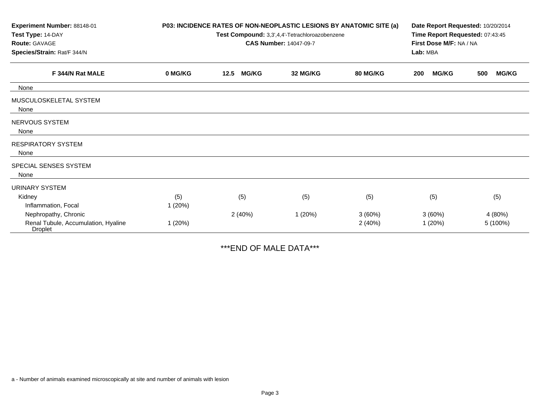| Experiment Number: 88148-01                           | P03: INCIDENCE RATES OF NON-NEOPLASTIC LESIONS BY ANATOMIC SITE (a) |                                                |                                 |                 |                     | Date Report Requested: 10/20/2014 |  |  |  |
|-------------------------------------------------------|---------------------------------------------------------------------|------------------------------------------------|---------------------------------|-----------------|---------------------|-----------------------------------|--|--|--|
| Test Type: 14-DAY                                     |                                                                     | Test Compound: 3,3',4,4'-Tetrachloroazobenzene | Time Report Requested: 07:43:45 |                 |                     |                                   |  |  |  |
| Route: GAVAGE                                         |                                                                     | <b>CAS Number: 14047-09-7</b>                  |                                 |                 |                     | First Dose M/F: NA / NA           |  |  |  |
| Species/Strain: Rat/F 344/N                           |                                                                     |                                                |                                 |                 | Lab: MBA            |                                   |  |  |  |
| F 344/N Rat MALE                                      | 0 MG/KG                                                             | <b>MG/KG</b><br>12.5                           | 32 MG/KG                        | <b>80 MG/KG</b> | <b>MG/KG</b><br>200 | <b>MG/KG</b><br>500               |  |  |  |
| None                                                  |                                                                     |                                                |                                 |                 |                     |                                   |  |  |  |
| MUSCULOSKELETAL SYSTEM<br>None                        |                                                                     |                                                |                                 |                 |                     |                                   |  |  |  |
| NERVOUS SYSTEM<br>None                                |                                                                     |                                                |                                 |                 |                     |                                   |  |  |  |
| <b>RESPIRATORY SYSTEM</b><br>None                     |                                                                     |                                                |                                 |                 |                     |                                   |  |  |  |
| SPECIAL SENSES SYSTEM<br>None                         |                                                                     |                                                |                                 |                 |                     |                                   |  |  |  |
| <b>URINARY SYSTEM</b>                                 |                                                                     |                                                |                                 |                 |                     |                                   |  |  |  |
| Kidney                                                | (5)                                                                 | (5)                                            | (5)                             | (5)             | (5)                 | (5)                               |  |  |  |
| Inflammation, Focal                                   | 1(20%)                                                              |                                                |                                 |                 |                     |                                   |  |  |  |
| Nephropathy, Chronic                                  |                                                                     | 2(40%)                                         | 1(20%)                          | 3(60%)          | 3(60%)              | 4 (80%)                           |  |  |  |
| Renal Tubule, Accumulation, Hyaline<br><b>Droplet</b> | 1(20%)                                                              |                                                |                                 | 2(40%)          | 1(20%)              | 5 (100%)                          |  |  |  |

\*\*\*END OF MALE DATA\*\*\*

a - Number of animals examined microscopically at site and number of animals with lesion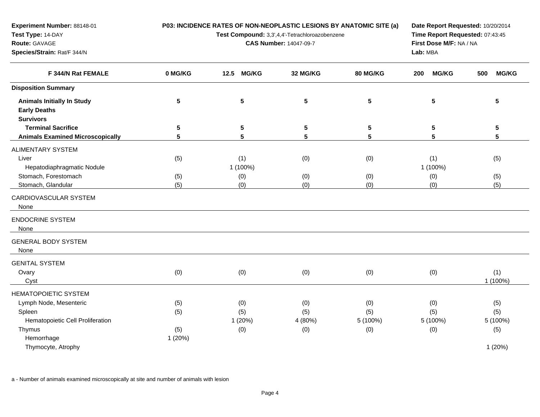| Test Type: 14-DAY                                                            |            |                               | Test Compound: 3,3',4,4'-Tetrachloroazobenzene | Time Report Requested: 07:43:45 |                                     |                     |  |  |
|------------------------------------------------------------------------------|------------|-------------------------------|------------------------------------------------|---------------------------------|-------------------------------------|---------------------|--|--|
| Route: GAVAGE<br>Species/Strain: Rat/F 344/N                                 |            | <b>CAS Number: 14047-09-7</b> |                                                |                                 | First Dose M/F: NA / NA<br>Lab: MBA |                     |  |  |
| F 344/N Rat FEMALE                                                           | 0 MG/KG    | <b>MG/KG</b><br>$12.5$        | 32 MG/KG                                       | 80 MG/KG                        | <b>MG/KG</b><br>200                 | 500<br><b>MG/KG</b> |  |  |
| <b>Disposition Summary</b>                                                   |            |                               |                                                |                                 |                                     |                     |  |  |
| <b>Animals Initially In Study</b><br><b>Early Deaths</b><br><b>Survivors</b> | $\sqrt{5}$ | 5                             | $5\phantom{.0}$                                | $5\phantom{1}$                  | 5                                   | 5                   |  |  |
| <b>Terminal Sacrifice</b>                                                    | 5          | 5                             | 5                                              | 5                               | 5                                   | 5                   |  |  |
| <b>Animals Examined Microscopically</b>                                      | 5          | 5                             | 5                                              | 5                               | 5                                   | 5                   |  |  |
| <b>ALIMENTARY SYSTEM</b><br>Liver<br>Hepatodiaphragmatic Nodule              | (5)        | (1)<br>1 (100%)               | (0)                                            | (0)                             | (1)<br>1 (100%)                     | (5)                 |  |  |
| Stomach, Forestomach                                                         | (5)        | (0)                           | (0)                                            | (0)                             | (0)                                 | (5)                 |  |  |
| Stomach, Glandular                                                           | (5)        | (0)                           | (0)                                            | (0)                             | (0)                                 | (5)                 |  |  |
| CARDIOVASCULAR SYSTEM<br>None                                                |            |                               |                                                |                                 |                                     |                     |  |  |
| <b>ENDOCRINE SYSTEM</b><br>None                                              |            |                               |                                                |                                 |                                     |                     |  |  |
| <b>GENERAL BODY SYSTEM</b><br>None                                           |            |                               |                                                |                                 |                                     |                     |  |  |
| <b>GENITAL SYSTEM</b><br>Ovary<br>Cyst                                       | (0)        | (0)                           | (0)                                            | (0)                             | (0)                                 | (1)<br>1 (100%)     |  |  |
| <b>HEMATOPOIETIC SYSTEM</b>                                                  |            |                               |                                                |                                 |                                     |                     |  |  |
| Lymph Node, Mesenteric                                                       | (5)        | (0)                           | (0)                                            | (0)                             | (0)                                 | (5)                 |  |  |
| Spleen                                                                       | (5)        | (5)                           | (5)                                            | (5)                             | (5)                                 | (5)                 |  |  |
| Hematopoietic Cell Proliferation                                             |            | 1 (20%)                       | 4 (80%)                                        | 5 (100%)                        | 5 (100%)                            | 5 (100%)            |  |  |
| Thymus                                                                       | (5)        | (0)                           | (0)                                            | (0)                             | (0)                                 | (5)                 |  |  |

**P03: INCIDENCE RATES OF NON-NEOPLASTIC LESIONS BY ANATOMIC SITE (a)**

**Date Report Requested:** 10/20/2014

Thymocyte, Atrophy1 (20%)

Hemorrhage

**Experiment Number:** 88148-01

a - Number of animals examined microscopically at site and number of animals with lesion

1 (20%)